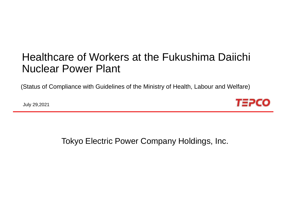# Healthcare of Workers at the Fukushima Daiichi Nuclear Power Plant

(Status of Compliance with Guidelines of the Ministry of Health, Labour and Welfare)

July 29,2021



Tokyo Electric Power Company Holdings, Inc.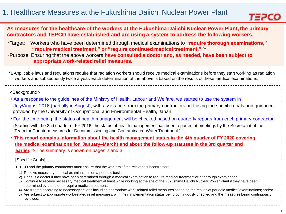

**As measures for the healthcare of the workers at the Fukushima Daiichi Nuclear Power Plant, the primary contractors and TEPCO have established and are using a system to address the following workers.**

- ・Target: Workers who have been determined through medical examinations to **"require thorough examinations," "require medical treatment," or "require continued medical treatment."** \*1
- ・Purpose: Ensuring that the above workers **have consulted a doctor and, as needed, have been subject to appropriate work-related relief measures.**
- \*1 Applicable laws and regulations require that radiation workers should receive medical examinations before they start working as radiation workers and subsequently twice a year. Each determination of the above is based on the results of these medical examinations.

#### <Background>

- As a response to the guidelines of the Ministry of Health, Labour and Welfare, we started to use the system in July/August 2016 (partially in August), with assistance from the primary contractors and using the specific goals and guidance provided by the University of Occupational and Environmental Health, Japan.
- For the time being, the status of health management will be checked based on quarterly reports from each primary contractor.
- (Starting with the 2nd quarter of FY 2016, the status of health management has been reported at meetings by the Secretariat of the Team for Countermeasures for Decommissioning and Contaminated Water Treatment.)
- **This report contains information about the health management status in the** 4**th quarter of FY 2020 covering the medical examinations for January–March) and about the follow-up statuses in the 3rd quarter and earlier.**⇒ The summary is shown on pages 2 and 3.

#### [Specific Goals]

TEPCO and the primary contractors must ensure that the workers of the relevant subcontractors:

- 1) Receive necessary medical examinations on a periodic basis;
- 2) Consult a doctor if they have been determined through a medical examination to require medical treatment or a thorough examination;
- 3) Continue to receive necessary medical treatment at least while working at the site of the Fukushima Daiichi Nuclear Power Plant if they have been determined by a doctor to require medical treatment:
- 4) Are treated according to necessary actions including appropriate work-related relief measures based on the results of periodic medical examinations; and/or
- 5) Are subject to appropriate work-related relief measures, with their implementation status being continuously checked and the measures being continuously reviewed.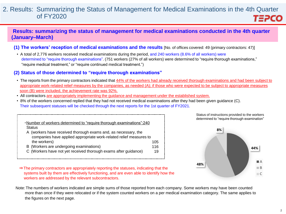#### 2. Results: Summarizing the Status of Management for Medical Examinations in the 4th Quarter of FY2020 **TEPCO**

### **Results: summarizing the status of management for medical examinations conducted in the 4th quarter (January–March)**

- **(1) The workers' reception of medical examinations and the results** [No. of offices covered: 49 (primary contractors: 47)]
	- A total of 2,776 workers received medical examinations during the period, and 240 workers (8.6% of all workers) were determined to "require thorough examinations". (751 workers (27% of all workers) were determined to "require thorough examinations," "require medical treatment," or "require continued medical treatment.")

#### **(2) Status of those determined to "require thorough examinations"**

- The reports from the primary contractors indicated that 44% of the workers had already received thorough examinations and had been subject to appropriate work-related relief measures by the companies, as needed (A); if those who were expected to be subject to appropriate measures soon (B) were included, the achievement rate was 92%.
- All contractors are appropriately implementing the guidance and management under the established system.
- 8% of the workers concerned replied that they had not received medical examinations after they had been given guidance (C). Their subsequent statuses will be checked through the next reports for the 1st quarter of FY2021.

| •Number of workers determined to "require thorough examinations":240 |     |
|----------------------------------------------------------------------|-----|
| <b>Status</b>                                                        |     |
| A (workers have received thorough exams and, as necessary, the       |     |
| companies have applied appropriate work-related relief measures to   |     |
| the workers)                                                         | 105 |
| B (Workers are undergoing examinations)                              | 116 |
| C (Workers have not yet received thorough exams after guidance)      | 19  |

determined to "require thorough examination" **8%**

Status of instructions provided to the workers



- ⇒The primary contractors are appropriately reporting the statuses, indicating that the systems built by them are effectively functioning, and are even able to identify how the workers are addressed by the relevant subcontractors.
- Note:The numbers of workers indicated are simple sums of those reported from each company. Some workers may have been counted more than once if they were relocated or if the system counted workers on a per medical examination category. The same applies to the figures on the next page.